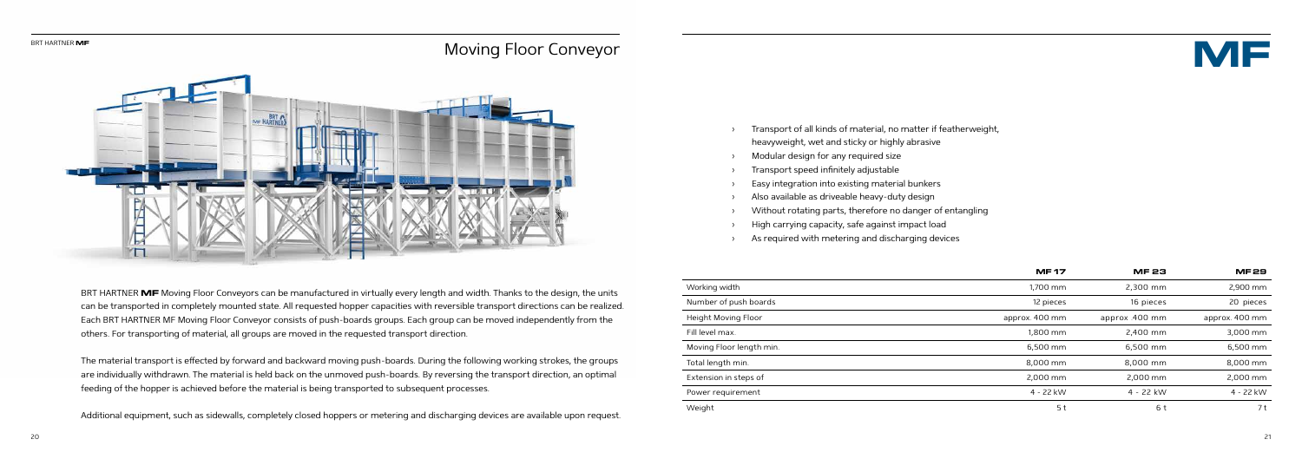- › Transport of all kinds of material, no matter if featherweight, heavyweight, wet and sticky or highly abrasive
- Modular design for any required size
- › Transport speed infinitely adjustable
- Easy integration into existing material bunkers
- Also available as driveable heavy-duty design
- › Without rotating parts, therefore no danger of entangling
- High carrying capacity, safe against impact load
- As required with metering and discharging devices



BRT HARTNER **MF** Moving Floor Conveyors can be manufactured in virtually every length and width. Thanks to the design, the units can be transported in completely mounted state. All requested hopper capacities with reversible transport directions can be realized. Each BRT HARTNER MF Moving Floor Conveyor consists of push-boards groups. Each group can be moved independently from the others. For transporting of material, all groups are moved in the requested transport direction.

The material transport is effected by forward and backward moving push-boards. During the following working strokes, the groups are individually withdrawn. The material is held back on the unmoved push-boards. By reversing the transport direction, an optimal feeding of the hopper is achieved before the material is being transported to subsequent processes.

Additional equipment, such as sidewalls, completely closed hoppers or metering and discharging devices are available upon request.

|                          | <b>MF17</b>    | <b>MF23</b>    | <b>MF29</b>    |
|--------------------------|----------------|----------------|----------------|
| Working width            | 1,700 mm       | 2,300 mm       | 2,900 mm       |
| Number of push boards    | 12 pieces      | 16 pieces      | 20 pieces      |
| Height Moving Floor      | approx. 400 mm | approx .400 mm | approx. 400 mm |
| Fill level max.          | 1.800 mm       | 2,400 mm       | 3,000 mm       |
| Moving Floor length min. | 6,500 mm       | 6.500 mm       | 6,500 mm       |
| Total length min.        | 8,000 mm       | 8.000 mm       | 8.000 mm       |
| Extension in steps of    | 2,000 mm       | 2,000 mm       | 2,000 mm       |
| Power requirement        | 4 - 22 kW      | 4 - 22 kW      | 4 - 22 kW      |
| Weight                   | 5 t            | 6 t            | 7 t            |



## Moving Floor Conveyor